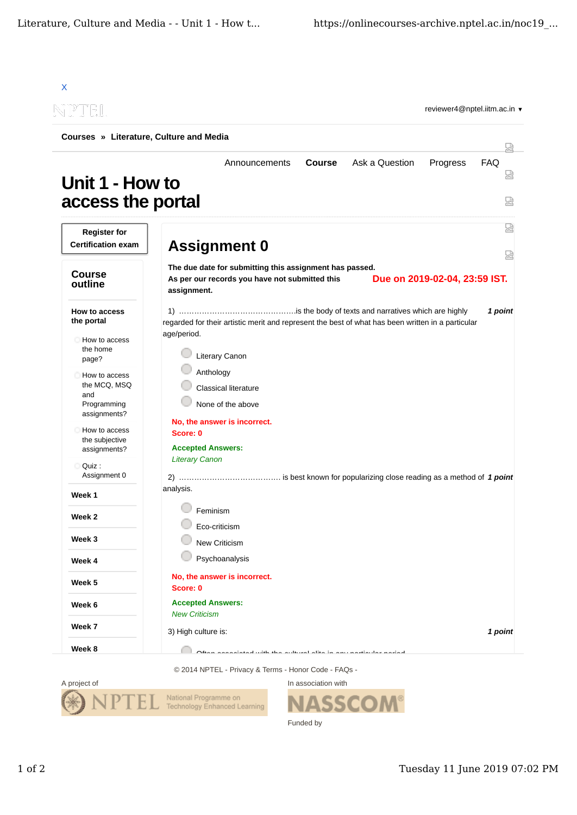| Courses » Literature, Culture and Media                             |                                                                                                                                                           | 닜             |
|---------------------------------------------------------------------|-----------------------------------------------------------------------------------------------------------------------------------------------------------|---------------|
| Unit 1 - How to<br>access the portal                                | Ask a Question<br>Announcements<br>Progress<br><b>Course</b>                                                                                              | FAQ<br>Ѩ<br>덣 |
| <b>Register for</b><br><b>Certification exam</b>                    | <b>Assignment 0</b>                                                                                                                                       | 썮<br>덣        |
| <b>Course</b><br>outline                                            | The due date for submitting this assignment has passed.<br>Due on 2019-02-04, 23:59 IST.<br>As per our records you have not submitted this<br>assignment. |               |
| How to access<br>the portal<br>How to access<br>the home<br>page?   | regarded for their artistic merit and represent the best of what has been written in a particular<br>age/period.<br><b>Literary Canon</b>                 | 1 point       |
| How to access<br>the MCQ, MSQ<br>and<br>Programming<br>assignments? | Anthology<br>Classical literature<br>None of the above                                                                                                    |               |
| How to access<br>the subjective<br>assignments?                     | No, the answer is incorrect.<br>Score: 0<br><b>Accepted Answers:</b>                                                                                      |               |
| Quiz:<br>Assignment 0                                               | <b>Literary Canon</b>                                                                                                                                     |               |
| Week 1                                                              | analysis.                                                                                                                                                 |               |
| Week 2                                                              | Feminism                                                                                                                                                  |               |
| Week 3                                                              | Eco-criticism<br>New Criticism                                                                                                                            |               |
| Week 4                                                              | Psychoanalysis                                                                                                                                            |               |
| Week 5                                                              | No, the answer is incorrect.<br>Score: 0                                                                                                                  |               |
| Week 6                                                              | <b>Accepted Answers:</b><br><b>New Criticism</b>                                                                                                          |               |
| Week 7                                                              | 3) High culture is:                                                                                                                                       | 1 point       |
| Week 8                                                              | أمستسم مستعاد وتشامس والمناصبات والتالم المسائلة والمسافية وللشارية المقمتة مسمعات والملاكا                                                               |               |

© 2014 NPTEL - Privacy & Terms - Honor Code - FAQs -



In association with **SSCOM®** Funded by